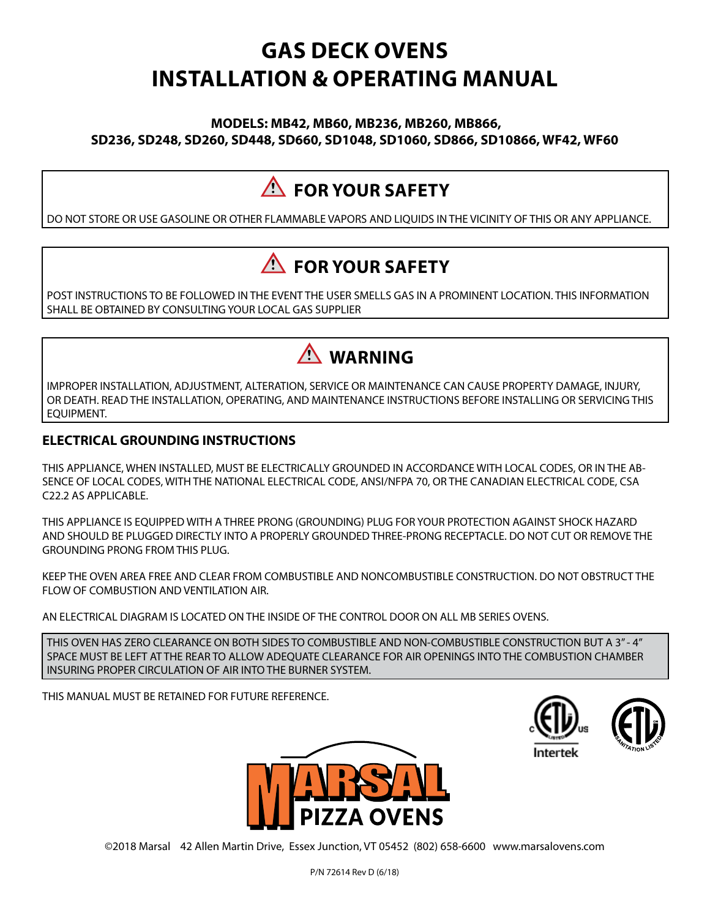# **GAS DECK OVENS INSTALLATION & OPERATING MANUAL**

#### **MODELS: MB42, MB60, MB236, MB260, MB866, SD236, SD248, SD260, SD448, SD660, SD1048, SD1060, SD866, SD10866, WF42, WF60**

# **FOR YOUR SAFETY**

DO NOT STORE OR USE GASOLINE OR OTHER FLAMMABLE VAPORS AND LIQUIDS IN THE VICINITY OF THIS OR ANY APPLIANCE.

# **FOR YOUR SAFETY**

POST INSTRUCTIONS TO BE FOLLOWED IN THE EVENT THE USER SMELLS GAS IN A PROMINENT LOCATION. THIS INFORMATION SHALL BE OBTAINED BY CONSULTING YOUR LOCAL GAS SUPPLIER



IMPROPER INSTALLATION, ADJUSTMENT, ALTERATION, SERVICE OR MAINTENANCE CAN CAUSE PROPERTY DAMAGE, INJURY, OR DEATH. READ THE INSTALLATION, OPERATING, AND MAINTENANCE INSTRUCTIONS BEFORE INSTALLING OR SERVICING THIS EQUIPMENT.

### **ELECTRICAL GROUNDING INSTRUCTIONS**

THIS APPLIANCE, WHEN INSTALLED, MUST BE ELECTRICALLY GROUNDED IN ACCORDANCE WITH LOCAL CODES, OR IN THE AB-SENCE OF LOCAL CODES, WITH THE NATIONAL ELECTRICAL CODE, ANSI/NFPA 70, OR THE CANADIAN ELECTRICAL CODE, CSA C22.2 AS APPLICABLE.

THIS APPLIANCE IS EQUIPPED WITH A THREE PRONG (GROUNDING) PLUG FOR YOUR PROTECTION AGAINST SHOCK HAZARD AND SHOULD BE PLUGGED DIRECTLY INTO A PROPERLY GROUNDED THREE‐PRONG RECEPTACLE. DO NOT CUT OR REMOVE THE GROUNDING PRONG FROM THIS PLUG.

KEEP THE OVEN AREA FREE AND CLEAR FROM COMBUSTIBLE AND NONCOMBUSTIBLE CONSTRUCTION. DO NOT OBSTRUCT THE FLOW OF COMBUSTION AND VENTILATION AIR.

AN ELECTRICAL DIAGRAM IS LOCATED ON THE INSIDE OF THE CONTROL DOOR ON ALL MB SERIES OVENS.

THIS OVEN HAS ZERO CLEARANCE ON BOTH SIDES TO COMBUSTIBLE AND NON-COMBUSTIBLE CONSTRUCTION BUT A 3" ‐ 4" SPACE MUST BE LEFT AT THE REAR TO ALLOW ADEQUATE CLEARANCE FOR AIR OPENINGS INTO THE COMBUSTION CHAMBER INSURING PROPER CIRCULATION OF AIR INTO THE BURNER SYSTEM.

THIS MANUAL MUST BE RETAINED FOR FUTURE REFERENCE.







©2018 Marsal 42 Allen Martin Drive, Essex Junction, VT 05452 (802) 658-6600 www.marsalovens.com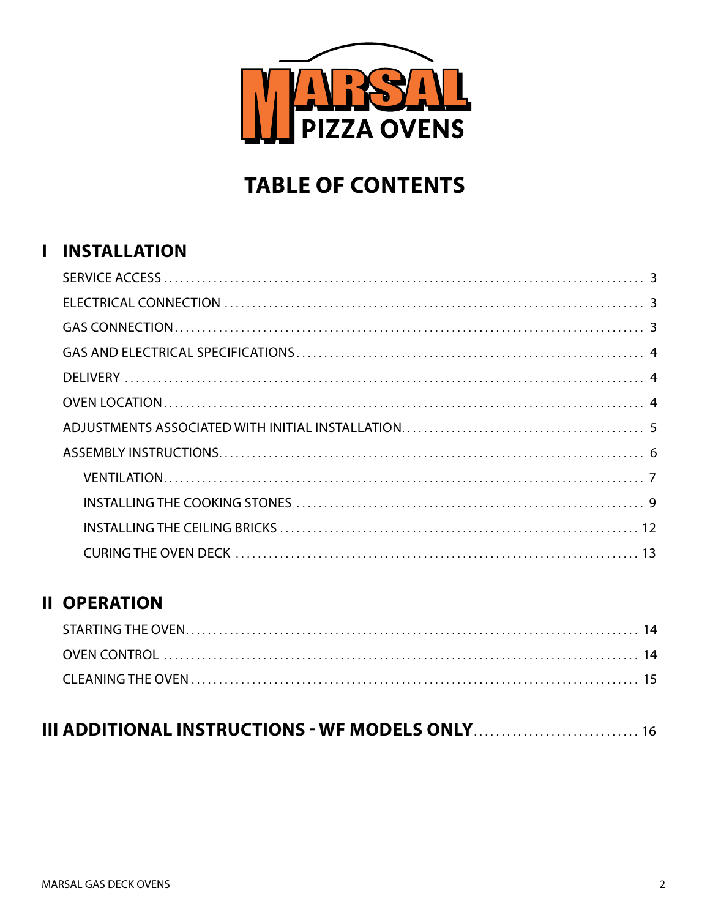

# **TABLE OF CONTENTS**

### **I INSTALLATION**

### **II OPERATION**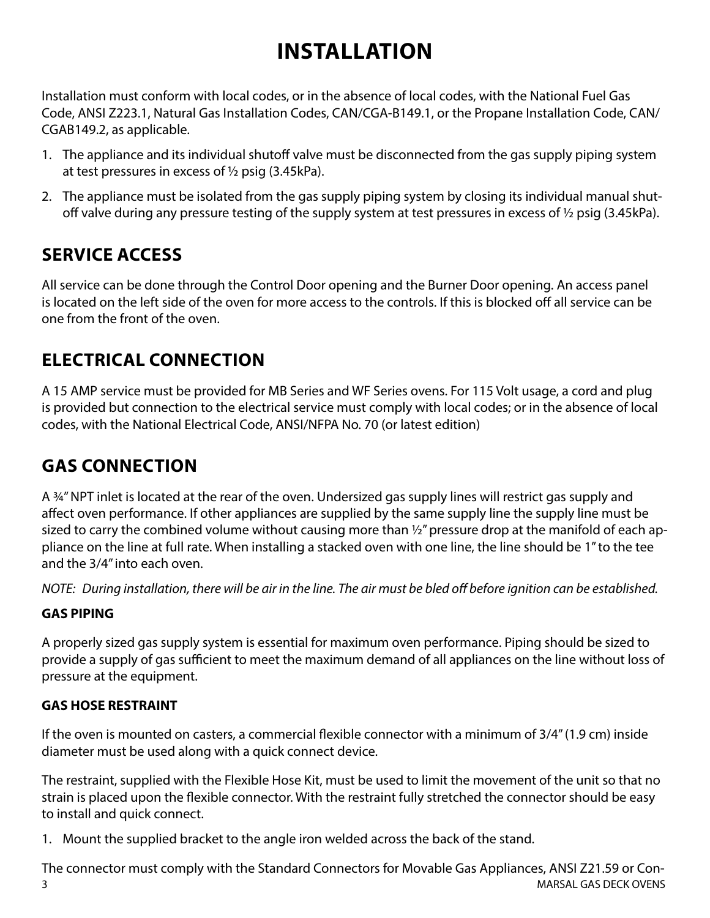# **INSTALLATION**

Installation must conform with local codes, or in the absence of local codes, with the National Fuel Gas Code, ANSI Z223.1, Natural Gas Installation Codes, CAN/CGA‐B149.1, or the Propane Installation Code, CAN/ CGAB149.2, as applicable.

- 1. The appliance and its individual shutoff valve must be disconnected from the gas supply piping system at test pressures in excess of ½ psig (3.45kPa).
- 2. The appliance must be isolated from the gas supply piping system by closing its individual manual shut‐ off valve during any pressure testing of the supply system at test pressures in excess of ½ psig (3.45kPa).

## **SERVICE ACCESS**

All service can be done through the Control Door opening and the Burner Door opening. An access panel is located on the left side of the oven for more access to the controls. If this is blocked off all service can be one from the front of the oven.

# **ELECTRICAL CONNECTION**

A 15 AMP service must be provided for MB Series and WF Series ovens. For 115 Volt usage, a cord and plug is provided but connection to the electrical service must comply with local codes; or in the absence of local codes, with the National Electrical Code, ANSI/NFPA No. 70 (or latest edition)

# **GAS CONNECTION**

A ¾" NPT inlet is located at the rear of the oven. Undersized gas supply lines will restrict gas supply and affect oven performance. If other appliances are supplied by the same supply line the supply line must be sized to carry the combined volume without causing more than ½" pressure drop at the manifold of each appliance on the line at full rate. When installing a stacked oven with one line, the line should be 1" to the tee and the 3/4" into each oven.

*NOTE: During installation, there will be air in the line. The air must be bled off before ignition can be established.*

### **GAS PIPING**

A properly sized gas supply system is essential for maximum oven performance. Piping should be sized to provide a supply of gas sufficient to meet the maximum demand of all appliances on the line without loss of pressure at the equipment.

### **GAS HOSE RESTRAINT**

If the oven is mounted on casters, a commercial flexible connector with a minimum of 3/4" (1.9 cm) inside diameter must be used along with a quick connect device.

The restraint, supplied with the Flexible Hose Kit, must be used to limit the movement of the unit so that no strain is placed upon the flexible connector. With the restraint fully stretched the connector should be easy to install and quick connect.

1. Mount the supplied bracket to the angle iron welded across the back of the stand.

3 MARSAL GAS DECK OVENS The connector must comply with the Standard Connectors for Movable Gas Appliances, ANSI Z21.59 or Con-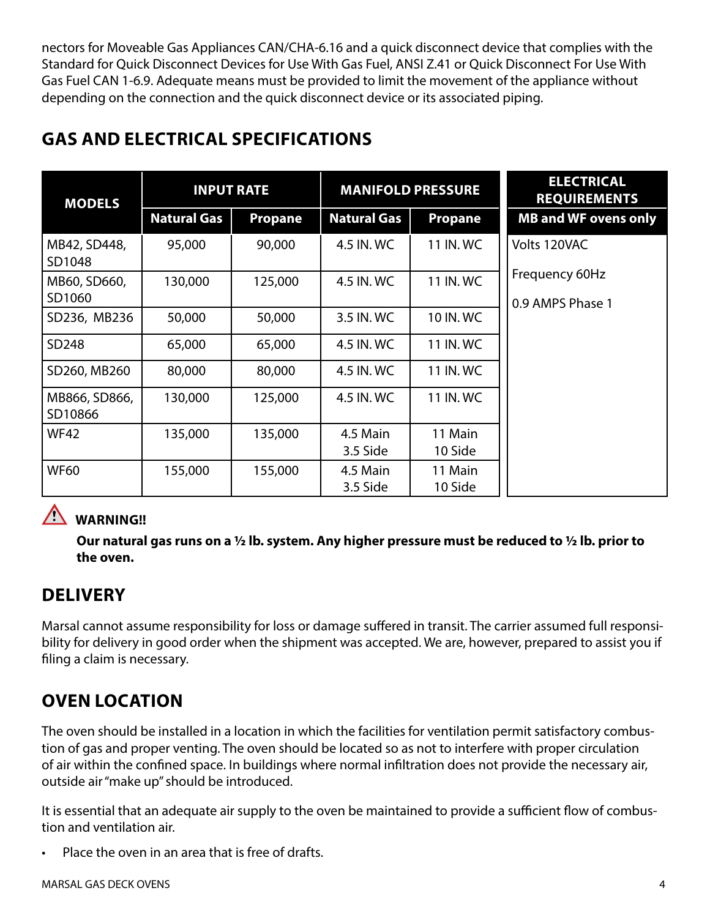nectors for Moveable Gas Appliances CAN/CHA‐6.16 and a quick disconnect device that complies with the Standard for Quick Disconnect Devices for Use With Gas Fuel, ANSI Z.41 or Quick Disconnect For Use With Gas Fuel CAN 1‐6.9. Adequate means must be provided to limit the movement of the appliance without depending on the connection and the quick disconnect device or its associated piping.

| <b>MODELS</b>            | <b>INPUT RATE</b>  |                | <b>MANIFOLD PRESSURE</b> |                | <b>ELECTRICAL</b><br><b>REQUIREMENT</b> |
|--------------------------|--------------------|----------------|--------------------------|----------------|-----------------------------------------|
|                          | <b>Natural Gas</b> | <b>Propane</b> | <b>Natural Gas</b>       | <b>Propane</b> | <b>MB and WF ovens</b>                  |
| MB42, SD448,<br>SD1048   | 95,000             | 90,000         | 4.5 IN. WC               | 11 IN. WC      | Volts 120VAC                            |
| MB60, SD660,<br>SD1060   | 130,000            | 125,000        | 4.5 IN. WC               | 11 IN. WC      | Frequency 60Hz<br>0.9 AMPS Phase 1      |
| SD236, MB236             | 50,000             | 50,000         | 3.5 IN. WC               | 10 IN. WC      |                                         |
| SD248                    | 65,000             | 65,000         | 4.5 IN. WC               | 11 IN. WC      |                                         |
| SD260, MB260             | 80,000             | 80,000         | 4.5 IN. WC               | 11 IN. WC      |                                         |
| MB866, SD866,<br>SD10866 | 130,000            | 125,000        | 4.5 IN. WC               | 11 IN. WC      |                                         |

# **GAS AND ELECTRICAL SPECIFICATIONS**

WF42 | 135,000 | 135,000 | 4.5 Main

WF60 | 155,000 | 155,000 | 4.5 Main

### **WARNING!!**

**Our natural gas runs on a ½ lb. system. Any higher pressure must be reduced to ½ lb. prior to the oven.**

3.5 Side

3.5 Side

11 Main 10 Side

11 Main 10 Side

### **DELIVERY**

Marsal cannot assume responsibility for loss or damage suffered in transit. The carrier assumed full responsibility for delivery in good order when the shipment was accepted. We are, however, prepared to assist you if filing a claim is necessary.

# **OVEN LOCATION**

The oven should be installed in a location in which the facilities for ventilation permit satisfactory combustion of gas and proper venting. The oven should be located so as not to interfere with proper circulation of air within the confined space. In buildings where normal infiltration does not provide the necessary air, outside air "make up" should be introduced.

It is essential that an adequate air supply to the oven be maintained to provide a sufficient flow of combustion and ventilation air.

Place the oven in an area that is free of drafts.

**RENTS Natural Gas Propane Natural Gas Propane MB and WF ovens only**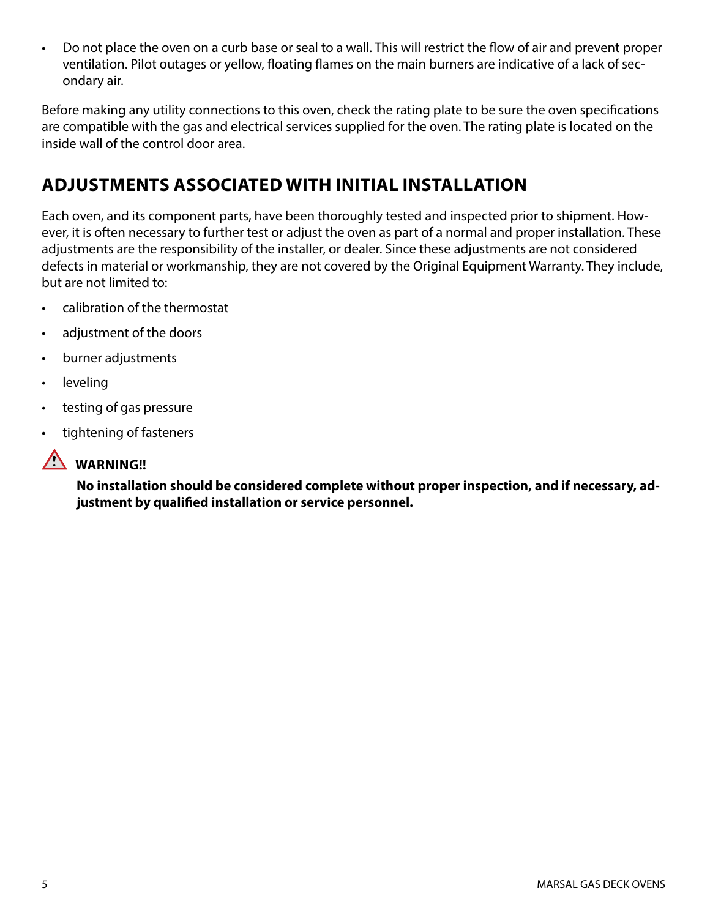• Do not place the oven on a curb base or seal to a wall. This will restrict the flow of air and prevent proper ventilation. Pilot outages or yellow, floating flames on the main burners are indicative of a lack of secondary air.

Before making any utility connections to this oven, check the rating plate to be sure the oven specifications are compatible with the gas and electrical services supplied for the oven. The rating plate is located on the inside wall of the control door area.

## **ADJUSTMENTS ASSOCIATED WITH INITIAL INSTALLATION**

Each oven, and its component parts, have been thoroughly tested and inspected prior to shipment. However, it is often necessary to further test or adjust the oven as part of a normal and proper installation. These adjustments are the responsibility of the installer, or dealer. Since these adjustments are not considered defects in material or workmanship, they are not covered by the Original Equipment Warranty. They include, but are not limited to:

- calibration of the thermostat
- adjustment of the doors
- burner adjustments
- leveling
- testing of gas pressure
- tightening of fasteners



### **WARNING!!**

**No installation should be considered complete without proper inspection, and if necessary, adjustment by qualified installation or service personnel.**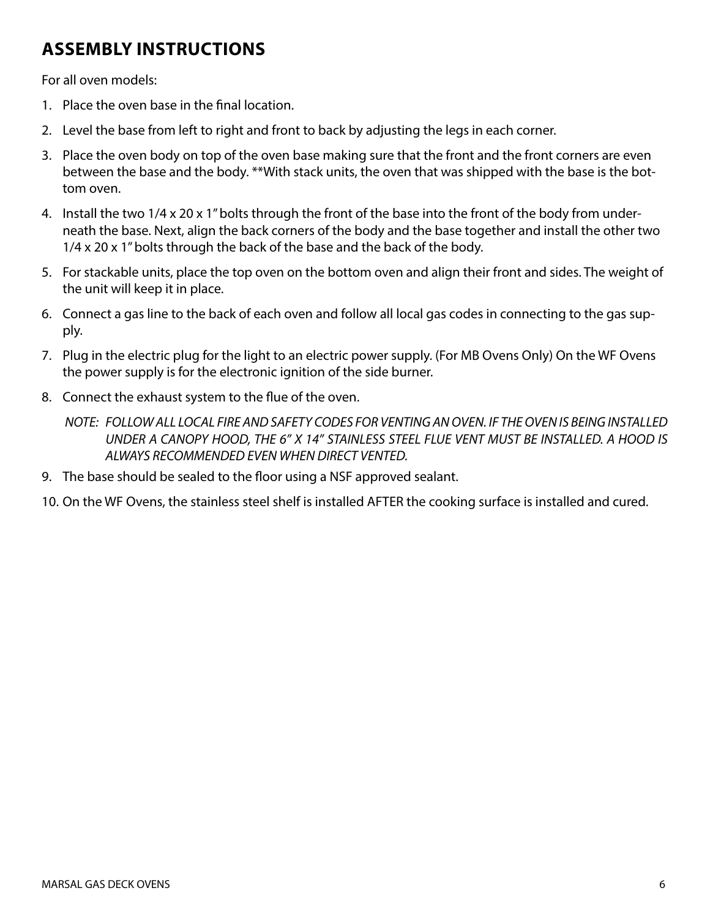# **ASSEMBLY INSTRUCTIONS**

For all oven models:

- 1. Place the oven base in the final location.
- 2. Level the base from left to right and front to back by adjusting the legs in each corner.
- 3. Place the oven body on top of the oven base making sure that the front and the front corners are even between the base and the body. \*\*With stack units, the oven that was shipped with the base is the bottom oven.
- 4. Install the two 1/4 x 20 x 1" bolts through the front of the base into the front of the body from underneath the base. Next, align the back corners of the body and the base together and install the other two 1/4 x 20 x 1" bolts through the back of the base and the back of the body.
- 5. For stackable units, place the top oven on the bottom oven and align their front and sides. The weight of the unit will keep it in place.
- 6. Connect a gas line to the back of each oven and follow all local gas codes in connecting to the gas supply.
- 7. Plug in the electric plug for the light to an electric power supply. (For MB Ovens Only) On the WF Ovens the power supply is for the electronic ignition of the side burner.
- 8. Connect the exhaust system to the flue of the oven.
	- *NOTE: FOLLOW ALL LOCAL FIRE AND SAFETY CODES FOR VENTING AN OVEN. IF THE OVEN IS BEING INSTALLED UNDER A CANOPY HOOD, THE 6" X 14" STAINLESS STEEL FLUE VENT MUST BE INSTALLED. A HOOD IS ALWAYS RECOMMENDED EVEN WHEN DIRECT VENTED.*
- 9. The base should be sealed to the floor using a NSF approved sealant.
- 10. On the WF Ovens, the stainless steel shelf is installed AFTER the cooking surface is installed and cured.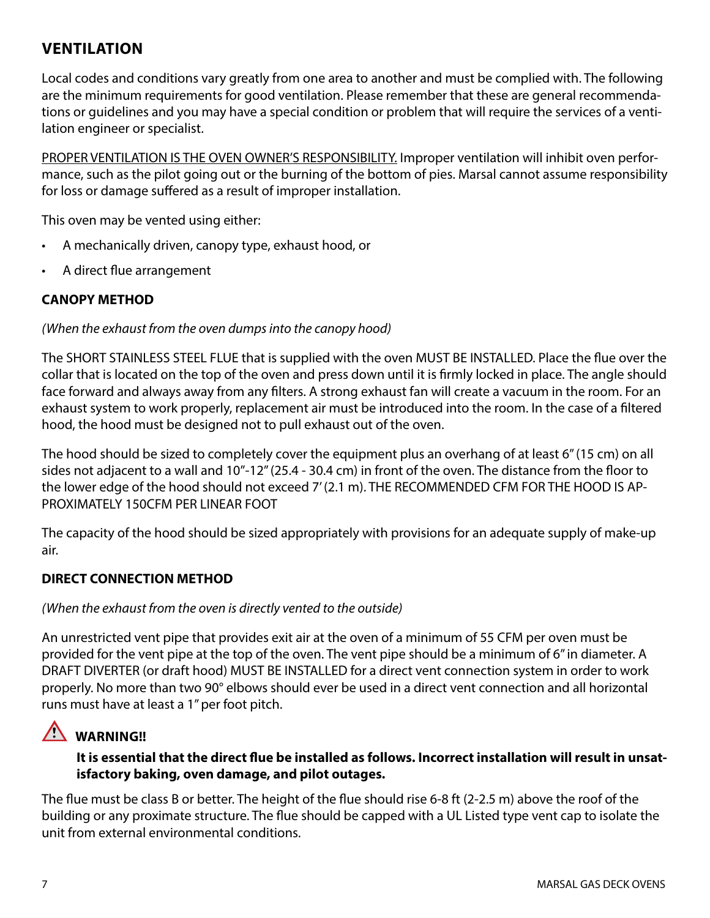### **VENTILATION**

Local codes and conditions vary greatly from one area to another and must be complied with. The following are the minimum requirements for good ventilation. Please remember that these are general recommendations or guidelines and you may have a special condition or problem that will require the services of a ventilation engineer or specialist.

PROPER VENTILATION IS THE OVEN OWNER'S RESPONSIBILITY. Improper ventilation will inhibit oven performance, such as the pilot going out or the burning of the bottom of pies. Marsal cannot assume responsibility for loss or damage suffered as a result of improper installation.

This oven may be vented using either:

- A mechanically driven, canopy type, exhaust hood, or
- A direct flue arrangement

#### **CANOPY METHOD**

*(When the exhaust from the oven dumps into the canopy hood)*

The SHORT STAINLESS STEEL FLUE that is supplied with the oven MUST BE INSTALLED. Place the flue over the collar that is located on the top of the oven and press down until it is firmly locked in place. The angle should face forward and always away from any filters. A strong exhaust fan will create a vacuum in the room. For an exhaust system to work properly, replacement air must be introduced into the room. In the case of a filtered hood, the hood must be designed not to pull exhaust out of the oven.

The hood should be sized to completely cover the equipment plus an overhang of at least 6" (15 cm) on all sides not adjacent to a wall and 10"‐12" (25.4 ‐ 30.4 cm) in front of the oven. The distance from the floor to the lower edge of the hood should not exceed 7' (2.1 m). THE RECOMMENDED CFM FOR THE HOOD IS AP-PROXIMATELY 150CFM PER LINEAR FOOT

The capacity of the hood should be sized appropriately with provisions for an adequate supply of make‐up air.

#### **DIRECT CONNECTION METHOD**

#### *(When the exhaust from the oven is directly vented to the outside)*

An unrestricted vent pipe that provides exit air at the oven of a minimum of 55 CFM per oven must be provided for the vent pipe at the top of the oven. The vent pipe should be a minimum of 6" in diameter. A DRAFT DIVERTER (or draft hood) MUST BE INSTALLED for a direct vent connection system in order to work properly. No more than two 90° elbows should ever be used in a direct vent connection and all horizontal runs must have at least a 1" per foot pitch.

### **WARNING!!**

#### **It is essential that the direct flue be installed as follows. Incorrect installation will result in unsatisfactory baking, oven damage, and pilot outages.**

The flue must be class B or better. The height of the flue should rise 6‐8 ft (2‐2.5 m) above the roof of the building or any proximate structure. The flue should be capped with a UL Listed type vent cap to isolate the unit from external environmental conditions.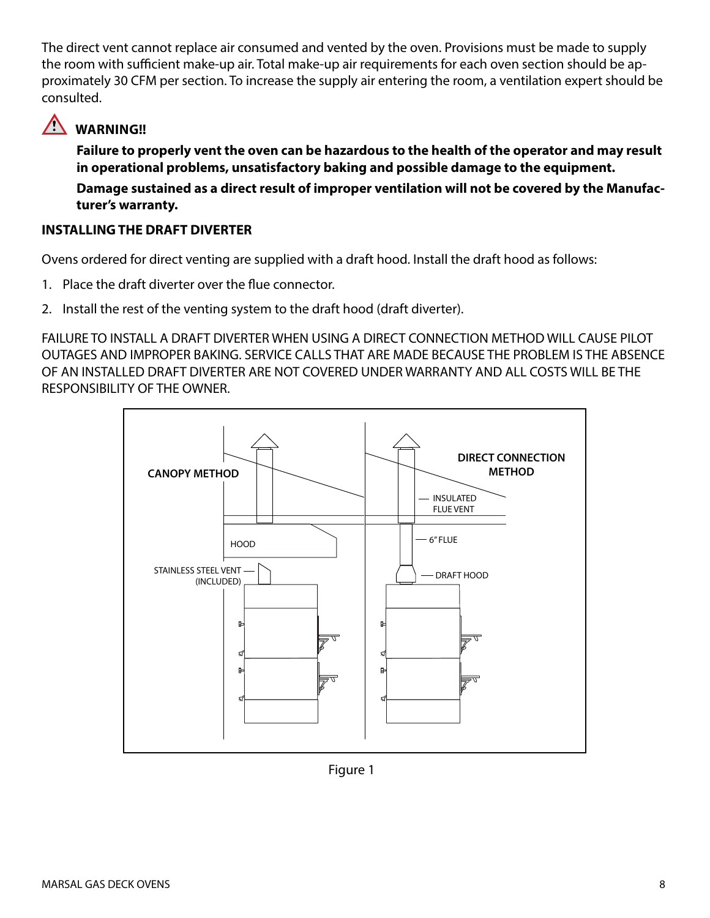The direct vent cannot replace air consumed and vented by the oven. Provisions must be made to supply the room with sufficient make‐up air. Total make‐up air requirements for each oven section should be approximately 30 CFM per section. To increase the supply air entering the room, a ventilation expert should be consulted.

## **WARNING!!**

**Failure to properly vent the oven can be hazardous to the health of the operator and may result in operational problems, unsatisfactory baking and possible damage to the equipment. Damage sustained as a direct result of improper ventilation will not be covered by the Manufac-**

**turer's warranty.**

### **INSTALLING THE DRAFT DIVERTER**

Ovens ordered for direct venting are supplied with a draft hood. Install the draft hood as follows:

- 1. Place the draft diverter over the flue connector.
- 2. Install the rest of the venting system to the draft hood (draft diverter).

FAILURE TO INSTALL A DRAFT DIVERTER WHEN USING A DIRECT CONNECTION METHOD WILL CAUSE PILOT OUTAGES AND IMPROPER BAKING. SERVICE CALLS THAT ARE MADE BECAUSE THE PROBLEM IS THE ABSENCE OF AN INSTALLED DRAFT DIVERTER ARE NOT COVERED UNDER WARRANTY AND ALL COSTS WILL BE THE RESPONSIBILITY OF THE OWNER.



Figure 1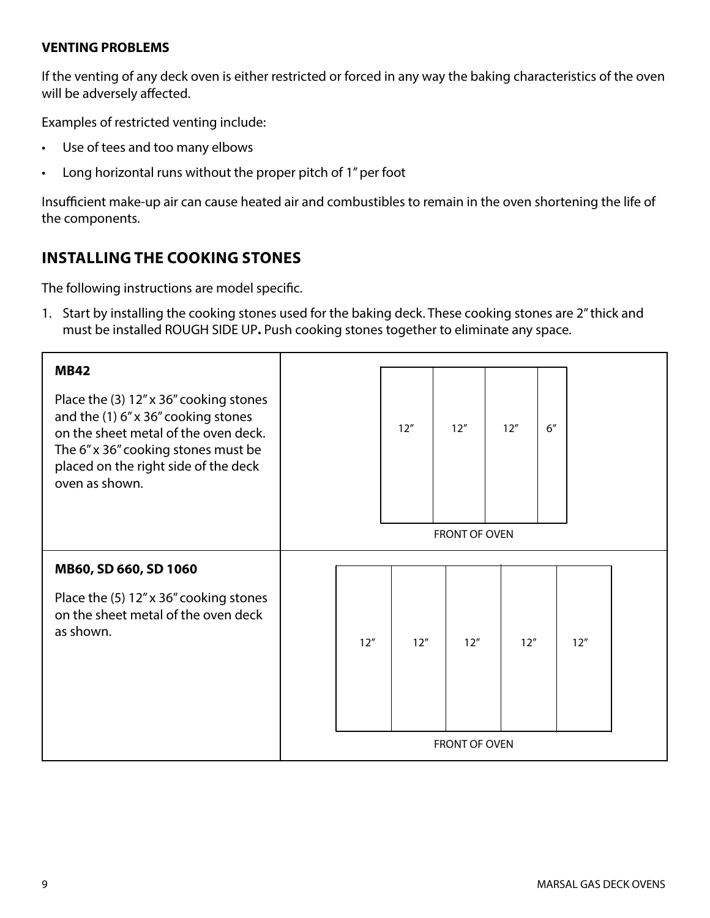#### **VENTING PROBLEMS**

If the venting of any deck oven is either restricted or forced in any way the baking characteristics of the oven will be adversely affected.

Examples of restricted venting include:

- Use of tees and too many elbows
- Long horizontal runs without the proper pitch of 1" per foot

Insufficient make‐up air can cause heated air and combustibles to remain in the oven shortening the life of the components.

### **INSTALLING THE COOKING STONES**

The following instructions are model specific.

1. Start by installing the cooking stones used for the baking deck. These cooking stones are 2" thick and must be installed ROUGH SIDE UP**.** Push cooking stones together to eliminate any space.

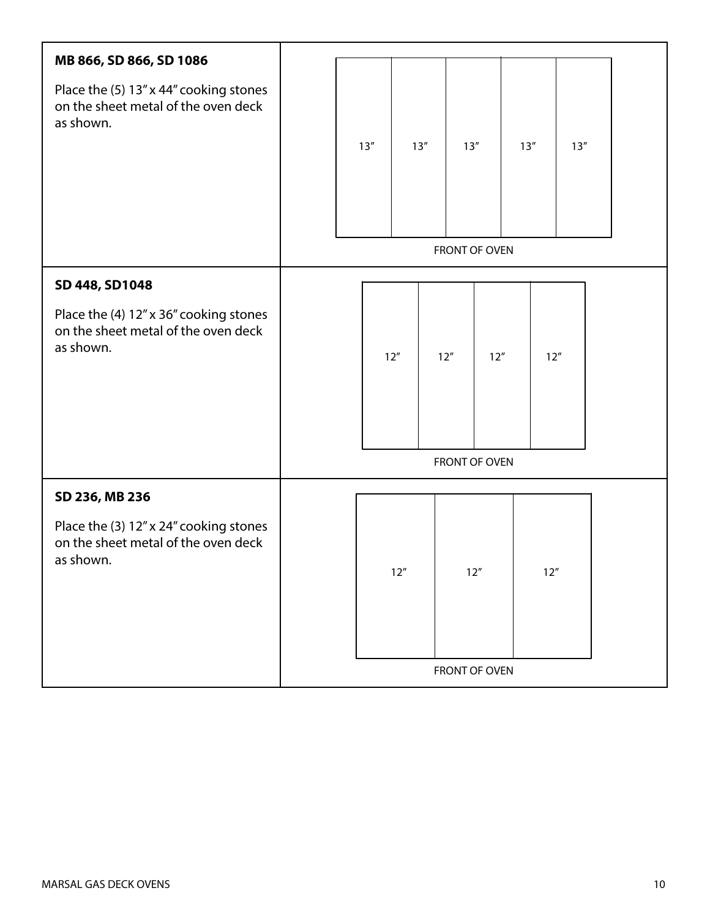| MB 866, SD 866, SD 1086                                                                    |               |      |     |        |                       |      |        |        |  |
|--------------------------------------------------------------------------------------------|---------------|------|-----|--------|-----------------------|------|--------|--------|--|
| Place the (5) 13" x 44" cooking stones<br>on the sheet metal of the oven deck<br>as shown. |               | 13'' |     | 13''   | 13''<br>FRONT OF OVEN |      | 13''   | $13''$ |  |
| SD 448, SD1048                                                                             |               |      |     |        |                       |      |        |        |  |
| Place the (4) 12" x 36" cooking stones<br>on the sheet metal of the oven deck<br>as shown. |               |      | 12" |        | 12"<br>FRONT OF OVEN  | 12'' | 12"    |        |  |
| SD 236, MB 236                                                                             |               |      |     |        |                       |      |        |        |  |
| Place the (3) 12" x 24" cooking stones<br>on the sheet metal of the oven deck<br>as shown. |               |      |     | $12''$ | $12''$                |      | $12''$ |        |  |
|                                                                                            | FRONT OF OVEN |      |     |        |                       |      |        |        |  |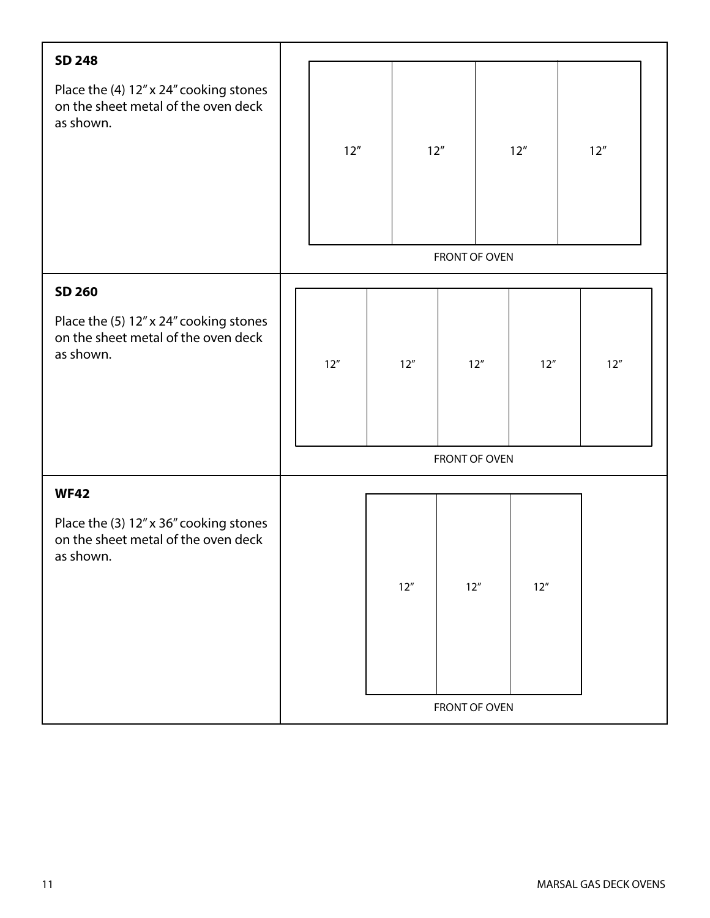| <b>SD 248</b>                                                                              |               |               |        |     |               |     |        |        |     |  |
|--------------------------------------------------------------------------------------------|---------------|---------------|--------|-----|---------------|-----|--------|--------|-----|--|
| Place the (4) 12" x 24" cooking stones<br>on the sheet metal of the oven deck<br>as shown. |               |               |        |     |               |     |        |        |     |  |
|                                                                                            |               | 12"           | 12"    |     |               | 12" |        | $12''$ |     |  |
|                                                                                            |               |               |        |     |               |     |        |        |     |  |
|                                                                                            |               |               |        |     |               |     |        |        |     |  |
|                                                                                            |               |               |        |     | FRONT OF OVEN |     |        |        |     |  |
| SD 260                                                                                     |               |               |        |     |               |     |        |        |     |  |
| Place the (5) 12" x 24" cooking stones<br>on the sheet metal of the oven deck<br>as shown. |               | 12"           | $12''$ |     | 12''          |     | 12"    |        | 12" |  |
|                                                                                            |               | FRONT OF OVEN |        |     |               |     |        |        |     |  |
| <b>WF42</b>                                                                                |               |               |        |     |               |     |        |        |     |  |
| Place the (3) 12" x 36" cooking stones<br>on the sheet metal of the oven deck<br>as shown. |               |               |        | 12" | $12''$        |     | $12''$ |        |     |  |
|                                                                                            | FRONT OF OVEN |               |        |     |               |     |        |        |     |  |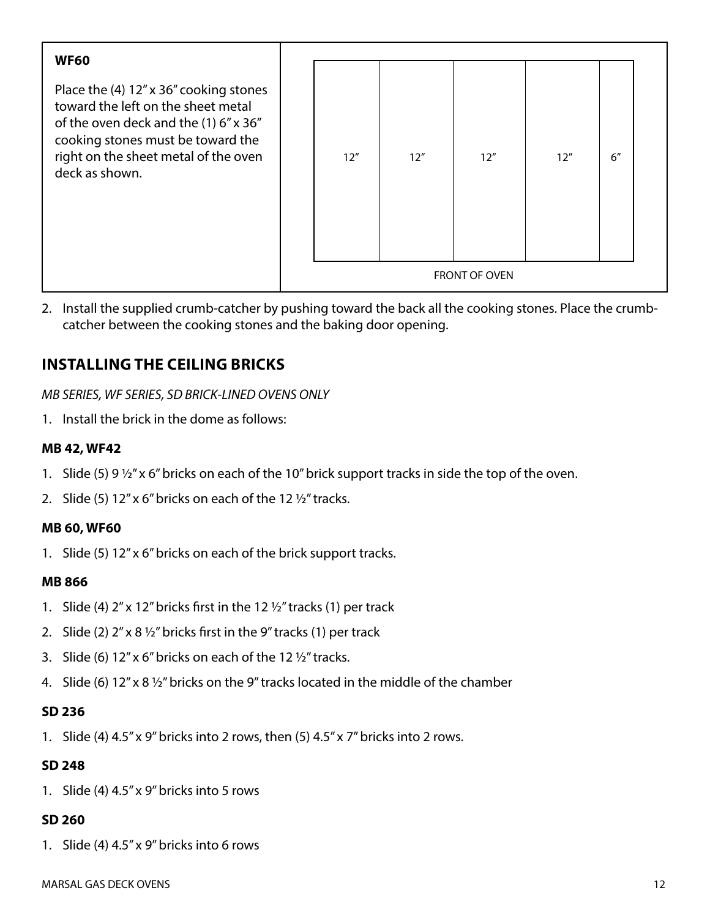| <b>WF60</b>                                                                                                                                                                                                          |  |     |     |                             |     |     |  |
|----------------------------------------------------------------------------------------------------------------------------------------------------------------------------------------------------------------------|--|-----|-----|-----------------------------|-----|-----|--|
| Place the (4) 12" x 36" cooking stones<br>toward the left on the sheet metal<br>of the oven deck and the (1) 6" x 36"<br>cooking stones must be toward the<br>right on the sheet metal of the oven<br>deck as shown. |  | 12" | 12" | 12"<br><b>FRONT OF OVEN</b> | 12" | 6'' |  |
|                                                                                                                                                                                                                      |  |     |     |                             |     |     |  |

2. Install the supplied crumb-catcher by pushing toward the back all the cooking stones. Place the crumbcatcher between the cooking stones and the baking door opening.

### **INSTALLING THE CEILING BRICKS**

*MB SERIES, WF SERIES, SD BRICK‐LINED OVENS ONLY*

1. Install the brick in the dome as follows:

#### **MB 42, WF42**

- 1. Slide (5) 9 ½" x 6" bricks on each of the 10" brick support tracks in side the top of the oven.
- 2. Slide (5) 12" x 6" bricks on each of the 12 ½" tracks.

#### **MB 60, WF60**

1. Slide (5) 12" x 6" bricks on each of the brick support tracks.

#### **MB 866**

- 1. Slide (4)  $2''$  x 12" bricks first in the 12  $\frac{1}{2}$ " tracks (1) per track
- 2. Slide (2)  $2''$  x 8  $\frac{1}{2}''$  bricks first in the 9" tracks (1) per track
- 3. Slide (6) 12" x 6" bricks on each of the 12 ½" tracks.
- 4. Slide (6) 12" x 8 ½" bricks on the 9" tracks located in the middle of the chamber

#### **SD 236**

1. Slide (4) 4.5" x 9" bricks into 2 rows, then (5) 4.5" x 7" bricks into 2 rows.

#### **SD 248**

1. Slide (4) 4.5" x 9" bricks into 5 rows

#### **SD 260**

1. Slide (4) 4.5" x 9" bricks into 6 rows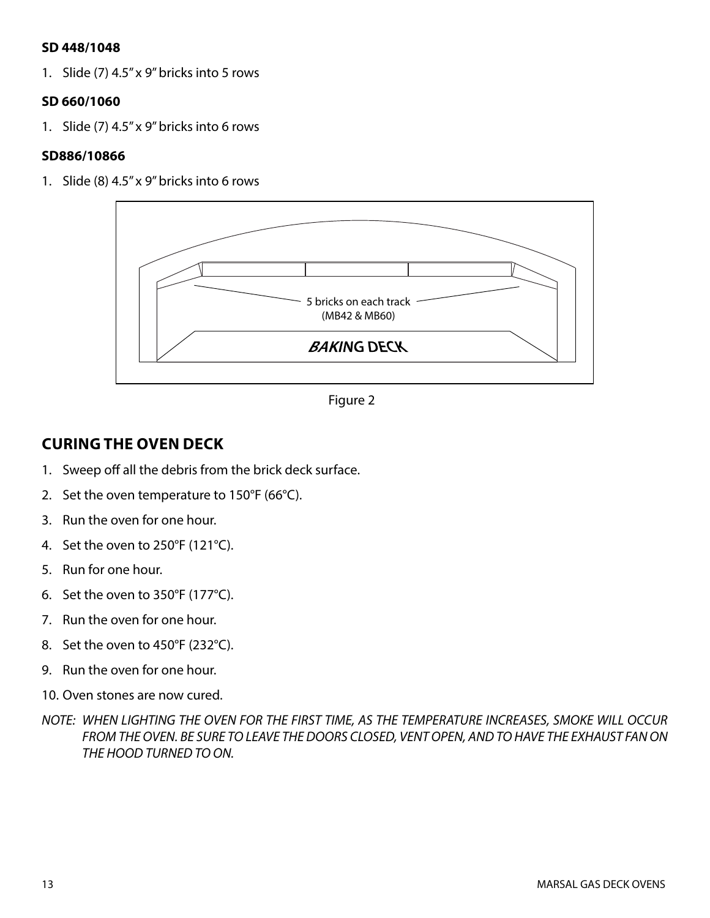#### **SD 448/1048**

1. Slide (7) 4.5" x 9" bricks into 5 rows

#### **SD 660/1060**

1. Slide (7) 4.5" x 9" bricks into 6 rows

#### **SD886/10866**

1. Slide (8) 4.5" x 9" bricks into 6 rows



Figure 2

### **CURING THE OVEN DECK**

- 1. Sweep off all the debris from the brick deck surface.
- 2. Set the oven temperature to 150°F (66°C).
- 3. Run the oven for one hour.
- 4. Set the oven to 250°F (121°C).
- 5. Run for one hour.
- 6. Set the oven to 350°F (177°C).
- 7. Run the oven for one hour.
- 8. Set the oven to 450°F (232°C).
- 9. Run the oven for one hour.
- 10. Oven stones are now cured.
- *NOTE: WHEN LIGHTING THE OVEN FOR THE FIRST TIME, AS THE TEMPERATURE INCREASES, SMOKE WILL OCCUR FROM THE OVEN. BE SURE TO LEAVE THE DOORS CLOSED, VENT OPEN, AND TO HAVE THE EXHAUST FAN ON THE HOOD TURNED TO ON.*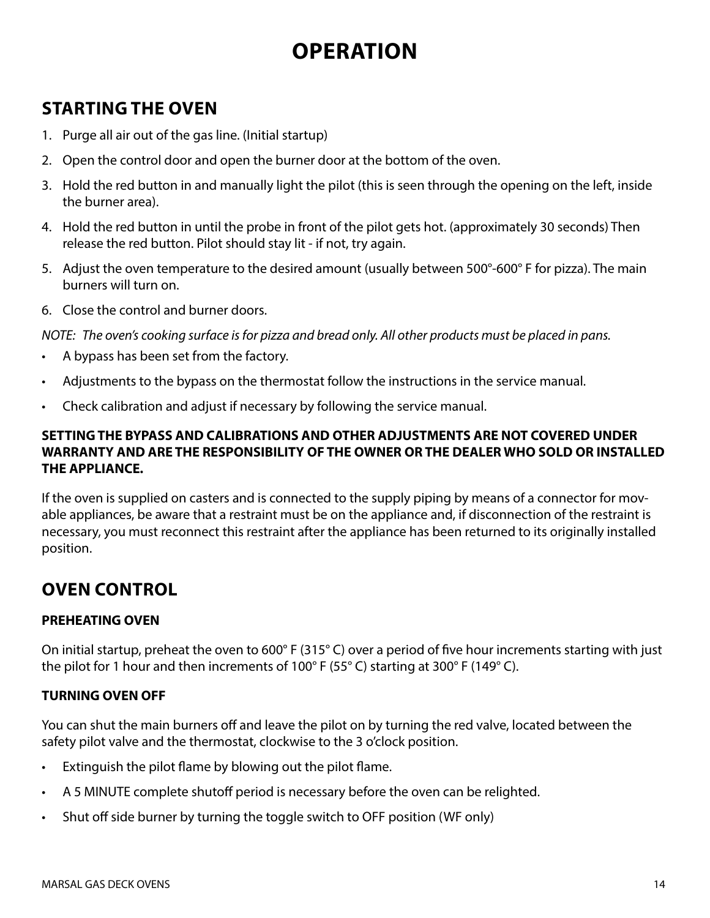# **OPERATION**

# **STARTING THE OVEN**

- 1. Purge all air out of the gas line. (Initial startup)
- 2. Open the control door and open the burner door at the bottom of the oven.
- 3. Hold the red button in and manually light the pilot (this is seen through the opening on the left, inside the burner area).
- 4. Hold the red button in until the probe in front of the pilot gets hot. (approximately 30 seconds) Then release the red button. Pilot should stay lit ‐ if not, try again.
- 5. Adjust the oven temperature to the desired amount (usually between 500°-600° F for pizza). The main burners will turn on.
- 6. Close the control and burner doors.

*NOTE: The oven's cooking surface is for pizza and bread only. All other products must be placed in pans.*

- A bypass has been set from the factory.
- Adjustments to the bypass on the thermostat follow the instructions in the service manual.
- Check calibration and adjust if necessary by following the service manual.

### **SETTING THE BYPASS AND CALIBRATIONS AND OTHER ADJUSTMENTS ARE NOT COVERED UNDER WARRANTY AND ARE THE RESPONSIBILITY OF THE OWNER OR THE DEALER WHO SOLD OR INSTALLED THE APPLIANCE.**

If the oven is supplied on casters and is connected to the supply piping by means of a connector for movable appliances, be aware that a restraint must be on the appliance and, if disconnection of the restraint is necessary, you must reconnect this restraint after the appliance has been returned to its originally installed position.

# **OVEN CONTROL**

### **PREHEATING OVEN**

On initial startup, preheat the oven to 600° F (315° C) over a period of five hour increments starting with just the pilot for 1 hour and then increments of 100° F (55° C) starting at 300° F (149° C).

### **TURNING OVEN OFF**

You can shut the main burners off and leave the pilot on by turning the red valve, located between the safety pilot valve and the thermostat, clockwise to the 3 o'clock position.

- Extinguish the pilot flame by blowing out the pilot flame.
- A 5 MINUTE complete shutoff period is necessary before the oven can be relighted.
- Shut off side burner by turning the toggle switch to OFF position (WF only)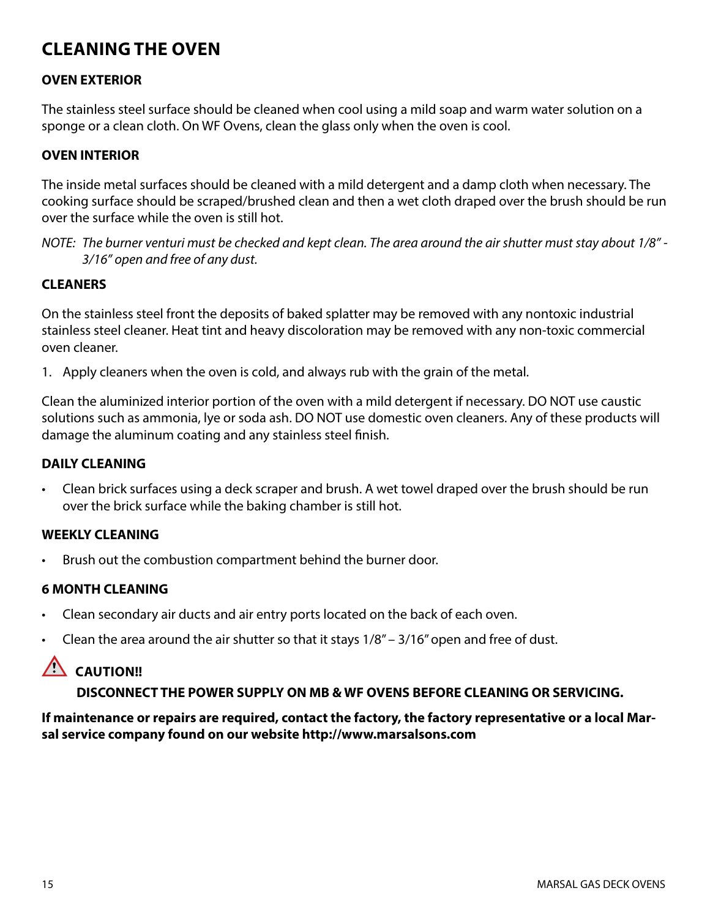# **CLEANING THE OVEN**

#### **OVEN EXTERIOR**

The stainless steel surface should be cleaned when cool using a mild soap and warm water solution on a sponge or a clean cloth. On WF Ovens, clean the glass only when the oven is cool.

#### **OVEN INTERIOR**

The inside metal surfaces should be cleaned with a mild detergent and a damp cloth when necessary. The cooking surface should be scraped/brushed clean and then a wet cloth draped over the brush should be run over the surface while the oven is still hot.

*NOTE: The burner venturi must be checked and kept clean. The area around the air shutter must stay about 1/8" ‐ 3/16" open and free of any dust.*

#### **CLEANERS**

On the stainless steel front the deposits of baked splatter may be removed with any nontoxic industrial stainless steel cleaner. Heat tint and heavy discoloration may be removed with any non‐toxic commercial oven cleaner.

1. Apply cleaners when the oven is cold, and always rub with the grain of the metal.

Clean the aluminized interior portion of the oven with a mild detergent if necessary. DO NOT use caustic solutions such as ammonia, lye or soda ash. DO NOT use domestic oven cleaners. Any of these products will damage the aluminum coating and any stainless steel finish.

#### **DAILY CLEANING**

• Clean brick surfaces using a deck scraper and brush. A wet towel draped over the brush should be run over the brick surface while the baking chamber is still hot.

#### **WEEKLY CLEANING**

Brush out the combustion compartment behind the burner door.

#### **6 MONTH CLEANING**

- Clean secondary air ducts and air entry ports located on the back of each oven.
- Clean the area around the air shutter so that it stays  $1/8'' 3/16''$  open and free of dust.

### $\triangle$  CAUTION!!

#### **DISCONNECT THE POWER SUPPLY ON MB & WF OVENS BEFORE CLEANING OR SERVICING.**

#### **If maintenance or repairs are required, contact the factory, the factory representative or a local Marsal service company found on our website http://www.marsalsons.com**